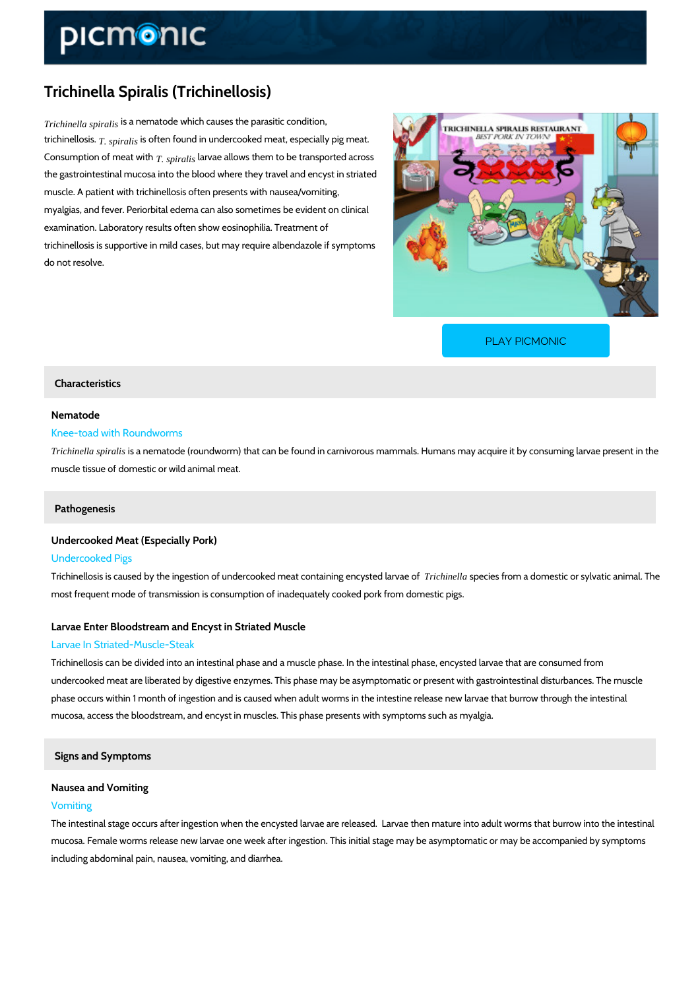# Trichinella Spiralis (Trichinellosis)

Trichinella spiralis is a nematode which causes the parasitic condition, trichinet es is often found in undercooked meat, especially pig meat. Consumption of  $m_{\frac{1}{2}}$  . Set allows them to be transported across the gastrointestinal mucosa into the blood where they travel and encyst in striated muscle. A patient with trichinellosis often presents with nausea/vomiting, myalgias, and fever. Periorbital edema can also sometimes be evident on clinical examination. Laboratory results often show eosinophilia. Treatment of trichinellosis is supportive in mild cases, but may require albendazole if symptoms do not resolve.

[PLAY PICMONIC](https://www.picmonic.com/learn/trichinella-spiralis_50025?utm_source=downloadable_content&utm_medium=distributedcontent&utm_campaign=pathways_pdf&utm_content=Trichinella Spiralis (Trichinellosis)&utm_ad_group=leads&utm_market=all)

#### Characteristics

#### Nematode

#### Knee-toad with Roundworms

Trichinella spiralis is a nematode (roundworm) that can be found in carnivorous mammals. Humans ma muscle tissue of domestic or wild animal meat.

#### Pathogenesis

Undercooked Meat (Especially Pork)

# Undercooked Pigs

Trichinellosis is caused by the ingestion of undercook Erindhimellaats promonitaasin firmogme and odyosmiaeds than rown a esponitiva most frequent mode of transmission is consumption of inadequately cooked pork from domestic

### Larvae Enter Bloodstream and Encyst in Striated Muscle Larvae In Striated-Muscle-Steak

Trichinellosis can be divided into an intestinal phase and a muscle phase. In the intestinal ph undercooked meat are liberated by digestive enzymes. This phase may be asymptomatic or pre phase occurs within 1 month of ingestion and is caused when adult worms in the intestine rele mucosa, access the bloodstream, and encyst in muscles. This phase presents with symptoms s

Signs and Symptoms

#### Nausea and Vomiting

#### Vomiting

The intestinal stage occurs after ingestion when the encysted larvae are released. Larvae the mucosa. Female worms release new larvae one week after ingestion. This initial stage may be including abdominal pain, nausea, vomiting, and diarrhea.